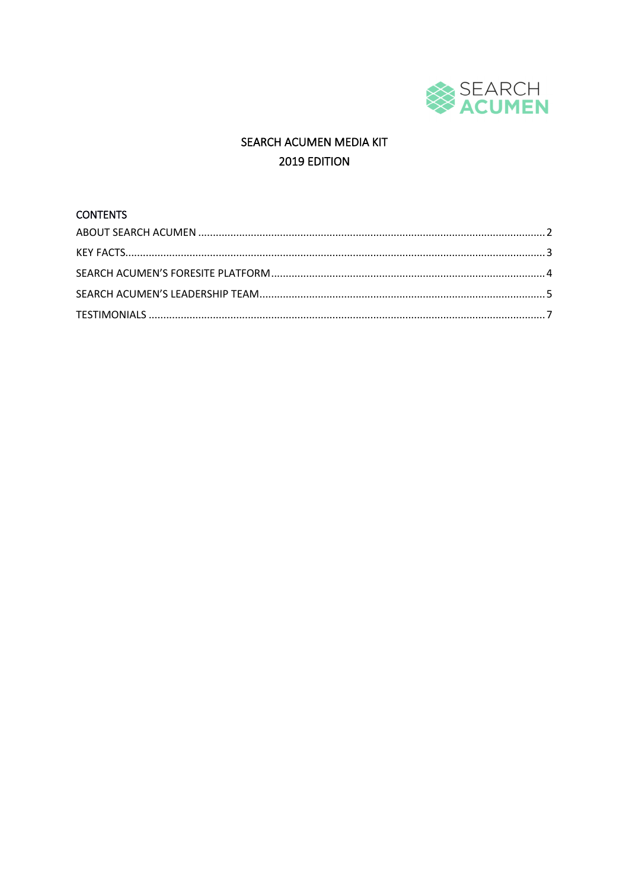

# SEARCH ACUMEN MEDIA KIT 2019 EDITION

# **CONTENTS**

<span id="page-0-0"></span>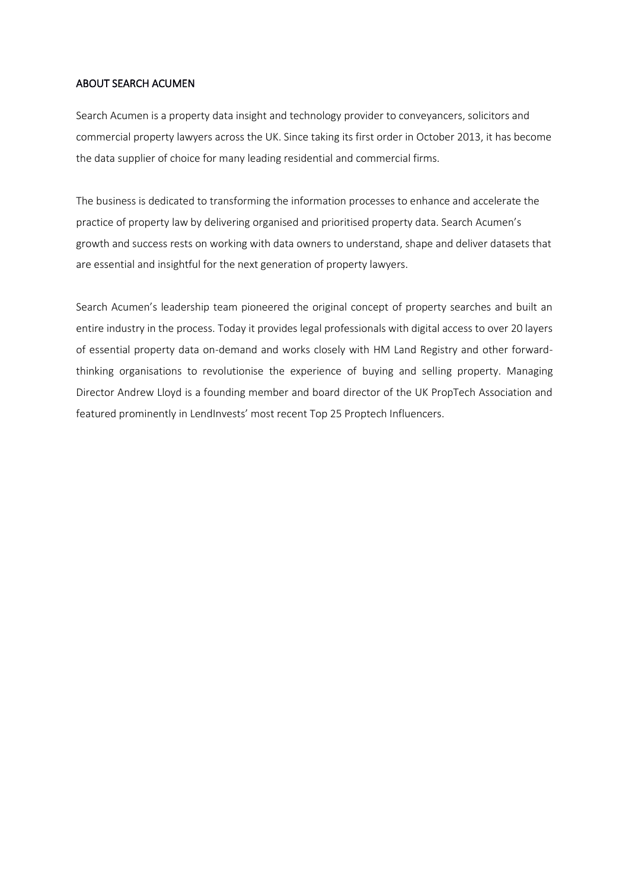#### ABOUT SEARCH ACUMEN

Search Acumen is a property data insight and technology provider to conveyancers, solicitors and commercial property lawyers across the UK. Since taking its first order in October 2013, it has become the data supplier of choice for many leading residential and commercial firms.

The business is dedicated to transforming the information processes to enhance and accelerate the practice of property law by delivering organised and prioritised property data. Search Acumen's growth and success rests on working with data owners to understand, shape and deliver datasets that are essential and insightful for the next generation of property lawyers.

Search Acumen's leadership team pioneered the original concept of property searches and built an entire industry in the process. Today it provides legal professionals with digital access to over 20 layers of essential property data on-demand and works closely with HM Land Registry and other forwardthinking organisations to revolutionise the experience of buying and selling property. Managing Director Andrew Lloyd is a founding member and board director of the UK PropTech Association and featured prominently in LendInvests' most recent Top 25 Proptech Influencers.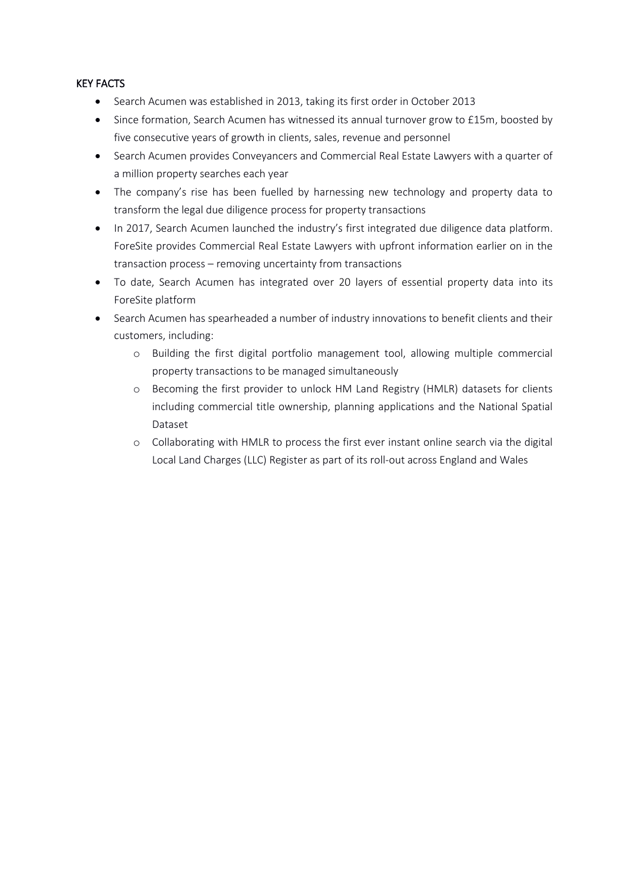# <span id="page-2-0"></span>KEY FACTS

- Search Acumen was established in 2013, taking its first order in October 2013
- Since formation, Search Acumen has witnessed its annual turnover grow to £15m, boosted by five consecutive years of growth in clients, sales, revenue and personnel
- Search Acumen provides Conveyancers and Commercial Real Estate Lawyers with a quarter of a million property searches each year
- The company's rise has been fuelled by harnessing new technology and property data to transform the legal due diligence process for property transactions
- In 2017, Search Acumen launched the industry's first integrated due diligence data platform. ForeSite provides Commercial Real Estate Lawyers with upfront information earlier on in the transaction process – removing uncertainty from transactions
- To date, Search Acumen has integrated over 20 layers of essential property data into its ForeSite platform
- Search Acumen has spearheaded a number of industry innovations to benefit clients and their customers, including:
	- o Building the first digital portfolio management tool, allowing multiple commercial property transactions to be managed simultaneously
	- o Becoming the first provider to unlock HM Land Registry (HMLR) datasets for clients including commercial title ownership, planning applications and the National Spatial Dataset
	- o Collaborating with HMLR to process the first ever instant online search via the digital Local Land Charges (LLC) Register as part of its roll-out across England and Wales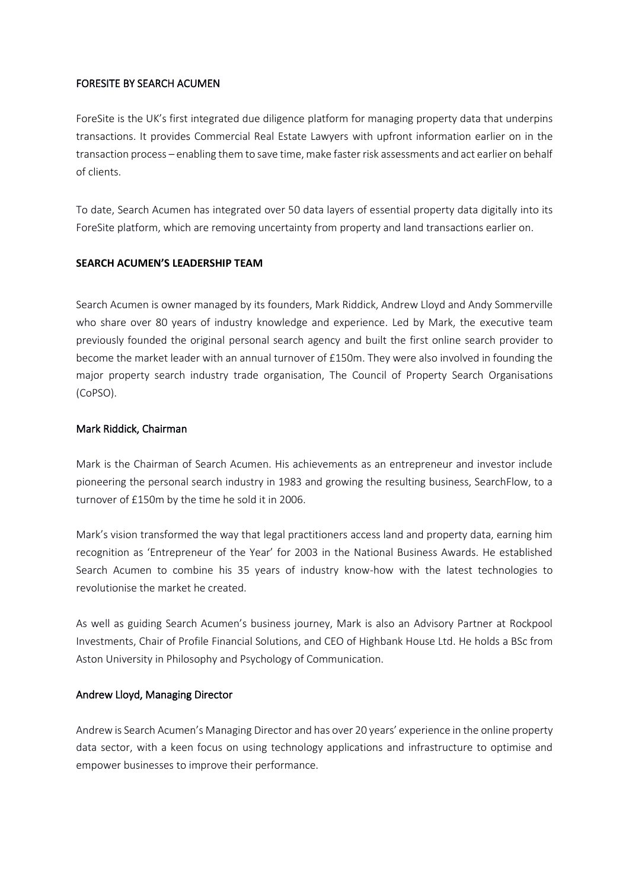# FORESITE BY SEARCH ACUMEN

ForeSite is the UK's first integrated due diligence platform for managing property data that underpins transactions. It provides Commercial Real Estate Lawyers with upfront information earlier on in the transaction process – enabling them to save time, make faster risk assessments and act earlier on behalf of clients.

To date, Search Acumen has integrated over 50 data layers of essential property data digitally into its ForeSite platform, which are removing uncertainty from property and land transactions earlier on.

# <span id="page-3-0"></span>**SEARCH ACUMEN'S LEADERSHIP TEAM**

Search Acumen is owner managed by its founders, Mark Riddick, Andrew Lloyd and Andy Sommerville who share over 80 years of industry knowledge and experience. Led by Mark, the executive team previously founded the original personal search agency and built the first online search provider to become the market leader with an annual turnover of £150m. They were also involved in founding the major property search industry trade organisation, The Council of Property Search Organisations (CoPSO).

# Mark Riddick, Chairman

Mark is the Chairman of Search Acumen. His achievements as an entrepreneur and investor include pioneering the personal search industry in 1983 and growing the resulting business, SearchFlow, to a turnover of £150m by the time he sold it in 2006.

Mark's vision transformed the way that legal practitioners access land and property data, earning him recognition as 'Entrepreneur of the Year' for 2003 in the National Business Awards. He established Search Acumen to combine his 35 years of industry know-how with the latest technologies to revolutionise the market he created.

As well as guiding Search Acumen's business journey, Mark is also an Advisory Partner at Rockpool Investments, Chair of Profile Financial Solutions, and CEO of Highbank House Ltd. He holds a BSc from Aston University in Philosophy and Psychology of Communication.

# Andrew Lloyd, Managing Director

Andrew is Search Acumen's Managing Director and has over 20 years' experience in the online property data sector, with a keen focus on using technology applications and infrastructure to optimise and empower businesses to improve their performance.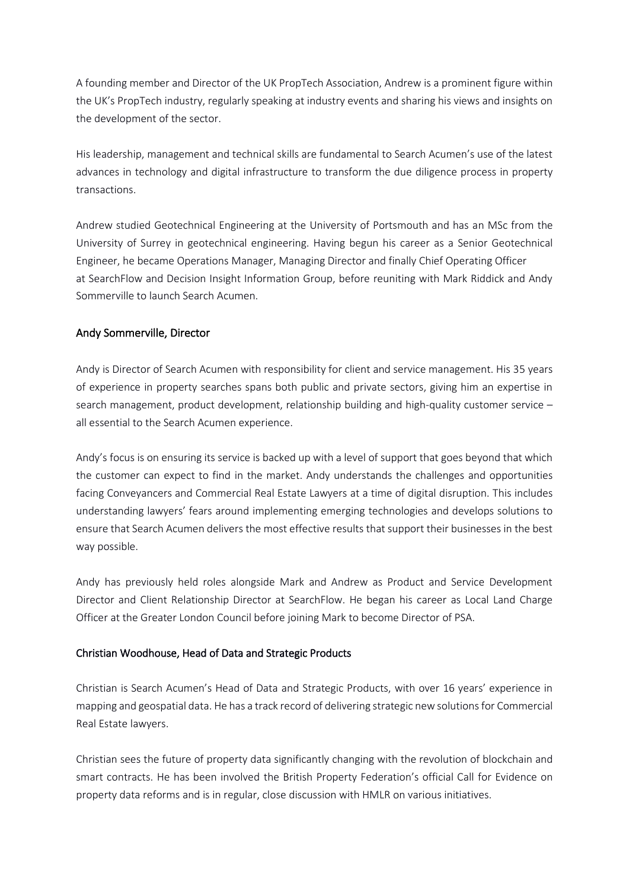A founding member and Director of the UK PropTech Association, Andrew is a prominent figure within the UK's PropTech industry, regularly speaking at industry events and sharing his views and insights on the development of the sector.

His leadership, management and technical skills are fundamental to Search Acumen's use of the latest advances in technology and digital infrastructure to transform the due diligence process in property transactions.

Andrew studied Geotechnical Engineering at the University of Portsmouth and has an MSc from the University of Surrey in geotechnical engineering. Having begun his career as a Senior Geotechnical Engineer, he became Operations Manager, Managing Director and finally Chief Operating Officer at SearchFlow and Decision Insight Information Group, before reuniting with Mark Riddick and Andy Sommerville to launch Search Acumen.

# Andy Sommerville, Director

Andy is Director of Search Acumen with responsibility for client and service management. His 35 years of experience in property searches spans both public and private sectors, giving him an expertise in search management, product development, relationship building and high-quality customer service – all essential to the Search Acumen experience.

Andy's focus is on ensuring its service is backed up with a level of support that goes beyond that which the customer can expect to find in the market. Andy understands the challenges and opportunities facing Conveyancers and Commercial Real Estate Lawyers at a time of digital disruption. This includes understanding lawyers' fears around implementing emerging technologies and develops solutions to ensure that Search Acumen delivers the most effective results that support their businesses in the best way possible.

Andy has previously held roles alongside Mark and Andrew as Product and Service Development Director and Client Relationship Director at SearchFlow. He began his career as Local Land Charge Officer at the Greater London Council before joining Mark to become Director of PSA.

# Christian Woodhouse, Head of Data and Strategic Products

Christian is Search Acumen's Head of Data and Strategic Products, with over 16 years' experience in mapping and geospatial data. He has a track record of delivering strategic new solutions for Commercial Real Estate lawyers.

Christian sees the future of property data significantly changing with the revolution of blockchain and smart contracts. He has been involved the British Property Federation's official Call for Evidence on property data reforms and is in regular, close discussion with HMLR on various initiatives.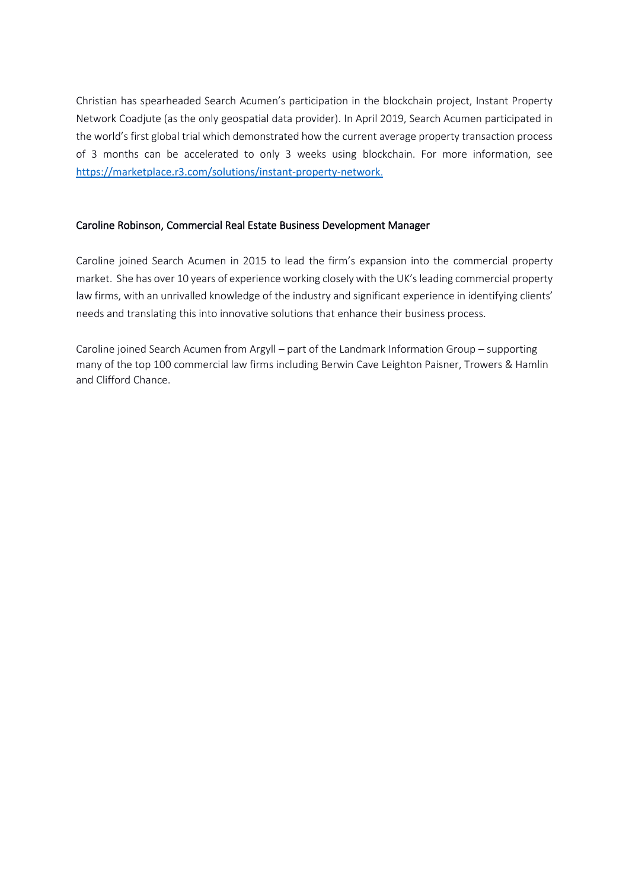Christian has spearheaded Search Acumen's participation in the blockchain project, Instant Property Network Coadjute (as the only geospatial data provider). In April 2019, Search Acumen participated in the world's first global trial which demonstrated how the current average property transaction process of 3 months can be accelerated to only 3 weeks using blockchain. For more information, see <https://marketplace.r3.com/solutions/instant-property-network>.

# Caroline Robinson, Commercial Real Estate Business Development Manager

Caroline joined Search Acumen in 2015 to lead the firm's expansion into the commercial property market. She has over 10 years of experience working closely with the UK's leading commercial property law firms, with an unrivalled knowledge of the industry and significant experience in identifying clients' needs and translating this into innovative solutions that enhance their business process.

Caroline joined Search Acumen from Argyll – part of the Landmark Information Group – supporting many of the top 100 commercial law firms including Berwin Cave Leighton Paisner, Trowers & Hamlin and Clifford Chance.